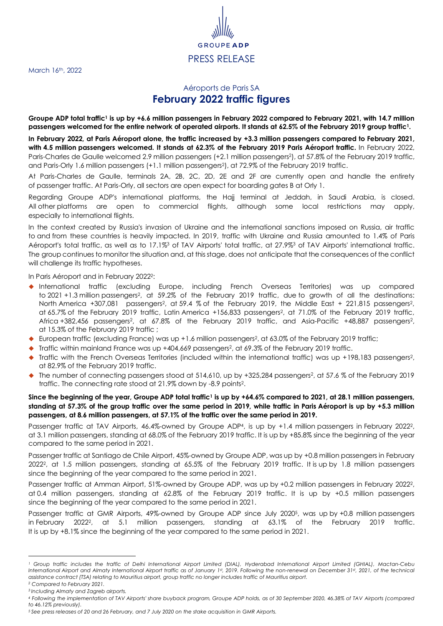March 16th, 2022

## GRO PRESS RELEASE

## <span id="page-0-1"></span><span id="page-0-0"></span>Aéroports de Paris SA **February 2022 traffic figures**

**Groupe ADP total traffic<sup>1</sup> is up by +6.6 million passengers in February 2022 compared to February 2021, with 14.7 million passengers welcomed for the entire network of operated airports. It stands at 62.5% of the February 2019 group traffi[c](#page-0-0)1.**

**In February 2022, at Paris Aéroport alone, the traffic increased by +3.3 million passengers compared to February 2021, with 4.5 million passengers welcomed. It stands at 62.3% of the February 2019 Paris Aéroport traffic.** In February 2022, Paris-Charles de Gaulle welcomed 2.9 million passengers (+2.1 million passengers<sup>2</sup>), at 57.8% of the February 2019 traffic, and Pari[s](#page-0-1)-Orly 1.6 million passengers (+1.1 million passengers<sup>2</sup>), at 72.9% of the February 2019 traffic.

At Paris-Charles de Gaulle, terminals 2A, 2B, 2C, 2D, 2E and 2F are currently open and handle the entirety of passenger traffic. At Paris-Orly, all sectors are open expect for boarding gates B at Orly 1.

Regarding Groupe ADP's international platforms, the Hajj terminal at Jeddah, in Saudi Arabia, is closed. All other platforms are open to commercial flights, although some local restrictions may apply, especially to international flights.

<span id="page-0-2"></span>In the context created by Russia's invasion of Ukraine and the international sanctions imposed on Russia, air traffic to and from these countries is heavily impacted. In 2019, traffic with Ukraine and Russia amounted to 1.4% of Paris Aéroport's total traffic, as well as to 17.1%<sup>3</sup> of TAV Airports' total traffic, at 27.9%[3](#page-0-2) of TAV Airports' international traffic. The group continues to monitor the situation and, at this stage, does not anticipate that the consequences of the conflict will challenge its traffic hypotheses.

In Paris Aéroport and in February 202[2](#page-0-1)2:

- ◆ International traffic (excluding Europe, including French Overseas Territories) was up compared to 2021 +1.3 million passengers<sup>2</sup>[,](#page-0-1) at 59.2% of the February 2019 traffic, due to growth of all the destinations: North America +307[,](#page-0-1)081 passengers<sup>2</sup>, at 59.4 % of the February 2019, the Middle East + 221,815 passengers<sup>2</sup>, at 65.7% of the February 2019 traffic, Latin America +156,833 passengers[2](#page-0-1), at 71.0% of the February 2019 traffic, Africa +382,456 pa[s](#page-0-1)sengers<sup>2</sup>, at 67.8% of the February 2019 traffic, and Asia-Pacific +48,887 passengers<sup>2</sup>, at 15.3% of the February 2019 traffic ;
- ◆ European traffic (excluding France) wa[s](#page-0-1) up +1.6 million passengers<sup>2</sup>, at 63.0% of the February 2019 traffic;
- $\blacklozenge$  Traffic within mainland France was up +404[,](#page-0-1)669 passengers<sup>2</sup>, at 69.3% of the February 2019 traffic.
- Traffic with the French Over[s](#page-0-1)eas Territories (included within the international traffic) was up +198,183 passengers<sup>2</sup>, at 82.9% of the February 2019 traffic.
- ◆ The number of connecting pa[s](#page-0-1)sengers stood at 514,610, up by +325,284 passengers<sup>2</sup>, at 57.6 % of the February 2019 traffic. The connecting rate stood at 21.9% down by -8.9 point[s](#page-0-1) 2.

## **Since the beginning of the year, Groupe ADP total traffi[c](#page-0-0)<sup>1</sup> is up by +64.6% compared to 2021, at 28.1 million passengers, standing at 57.3% of the group traffic over the same period in 2019, while traffic in Paris Aéroport is up by +5.3 million passengers, at 8.6 million passengers, at 57.1% of the traffic over the same period in 2019.**

Passenger traffic at TAV Airports, 46.4%-owned by Groupe ADP<sup>4</sup>, is up by +1.4 million passengers in February [2](#page-0-1)022<sup>2</sup>, at 3.1 million passengers, standing at 68.0% of the February 2019 traffic. It is up by +85.8% since the beginning of the year compared to the same period in 2021.

Passenger traffic at Santiago de Chile Airport, 45%-owned by Groupe ADP, was up by +0.8 million passengers in February 202[2](#page-0-1)2, at 1.5 million passengers, standing at 65.5% of the February 2019 traffic. It is up by 1.8 million passengers since the beginning of the year compared to the same period in 2021.

Passenger traffic at Amman Airport, 51%-owned by Groupe ADP, was up by +0.[2](#page-0-1) million passengers in February 2022<sup>2</sup>, at 0.4 million passengers, standing at 62.8% of the February 2019 traffic. It is up by +0.5 million passengers since the beginning of the year compared to the same period in 2021.

Passenger traffic at GMR Airports, 49%-owned by Groupe ADP since July 20205, was up by +0.8 million passengers in February 2022[2](#page-0-1), at 5.1 million passengers, standing at 63.1% of the February 2019 traffic. It is up by +8.1% since the beginning of the year compared to the same period in 2021.

*<sup>1</sup> Group traffic includes the traffic of Delhi International Airport Limited (DIAL), Hyderabad International Airport Limited (GHIAL), Mactan-Cebu International Airport and Almaty International Airport traffic as of January 1st, 2019. Following the non-renewal on December 31st, 2021, of the technical assistance contract (TSA) relating to Mauritius airport, group traffic no longer includes traffic of Mauritius airport.*

*<sup>2</sup> Compared to February 2021.*

*<sup>3</sup> Including Almaty and Zagreb airports.*

*<sup>4</sup> Following the implementation of TAV Airports' share buyback program, Groupe ADP holds, as of 30 September 2020, 46.38% of TAV Airports (compared to 46.12% previously).*

*<sup>5</sup> See press releases of 20 and 26 February, and 7 July 2020 on the stake acquisition in GMR Airports.*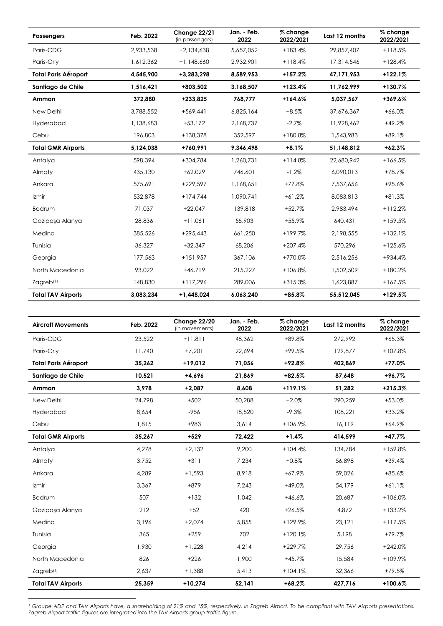| <b>Passengers</b>           | Feb. 2022 | Change 22/21<br>(in passengers) | Jan. - Feb.<br>2022 | % change<br>2022/2021 | Last 12 months | % change<br>2022/2021 |
|-----------------------------|-----------|---------------------------------|---------------------|-----------------------|----------------|-----------------------|
| Paris-CDG                   | 2.933.538 | $+2.134.638$                    | 5.657.052           | $+183.4%$             | 29,857,407     | $+118.5%$             |
| Paris-Orly                  | 1,612,362 | $+1,148,660$                    | 2,932,901           | $+118.4%$             | 17,314,546     | $+128.4%$             |
| <b>Total Paris Aéroport</b> | 4,545,900 | +3,283,298                      | 8,589,953           | $+157.2%$             | 47,171,953     | $+122.1%$             |
| Santiago de Chile           | 1,516,421 | +803.502                        | 3,168,507           | $+123.4%$             | 11,762,999     | $+130.7%$             |
| Amman                       | 372,880   | $+233,825$                      | 768,777             | $+164.6%$             | 5,037,567      | $+369.6%$             |
| New Delhi                   | 3,788,552 | $+569,441$                      | 6,825,164           | $+8.5%$               | 37,676,367     | $+66.0%$              |
| Hyderabad                   | 1,138,683 | $+53,172$                       | 2,168,737           | $-2.7%$               | 11,928,462     | $+49.2%$              |
| Cebu                        | 196,803   | $+138,378$                      | 352,597             | $+180.8%$             | 1,543,983      | $+89.1%$              |
| <b>Total GMR Airports</b>   | 5,124,038 | +760,991                        | 9.346.498           | $+8.1%$               | 51,148,812     | $+62.3%$              |
| Antalya                     | 598,394   | $+304,784$                      | 1,260,731           | $+114.8%$             | 22,680,942     | $+166.5%$             |
| Almaty                      | 435,130   | $+62,029$                       | 746,601             | $-1.2%$               | 6,090,013      | $+78.7%$              |
| Ankara                      | 575.691   | $+229.597$                      | 1.168.651           | $+77.8%$              | 7,537,656      | $+95.6%$              |
| Izmir                       | 532,878   | $+174,744$                      | 1,090,741           | $+61.2%$              | 8,083,813      | $+81.3%$              |
| Bodrum                      | 71,037    | $+22,047$                       | 139,818             | $+52.7%$              | 2,983,494      | $+112.2%$             |
| Gazipasa Alanya             | 28,836    | $+11.061$                       | 55,903              | $+55.9%$              | 640.431        | $+159.5%$             |
| Medina                      | 385,526   | $+295,443$                      | 661,250             | $+199.7%$             | 2,198,555      | $+132.1%$             |
| Tunisia                     | 36,327    | $+32,347$                       | 68,206              | $+207.4%$             | 570,296        | $+125.6%$             |
| Georgia                     | 177,563   | $+151,957$                      | 367,106             | +770.0%               | 2,516,256      | +934.4%               |
| North Macedonia             | 93,022    | $+46,719$                       | 215,227             | $+106.8%$             | 1,502,509      | $+180.2%$             |
| $Z$ agreb $(1)$             | 148,830   | $+117,296$                      | 289,006             | $+315.3%$             | 1,623,887      | $+167.5%$             |
| <b>Total TAV Airports</b>   | 3,083,234 | $+1.448.024$                    | 6,063,240           | $+85.8%$              | 55,512,045     | $+129.5%$             |

| <b>Aircraft Movements</b>   | Feb. 2022 | Change 22/20<br>(in movements) | Jan. - Feb.<br>2022 | % change<br>2022/2021 | Last 12 months | % change<br>2022/2021 |
|-----------------------------|-----------|--------------------------------|---------------------|-----------------------|----------------|-----------------------|
| Paris-CDG                   | 23,522    | $+11,811$                      | 48,362              | $+89.8%$              | 272,992        | $+65.3%$              |
| Paris-Orly                  | 11,740    | $+7,201$                       | 22,694              | $+99.5%$              | 129,877        | $+107.8%$             |
| <b>Total Paris Aéroport</b> | 35,262    | $+19,012$                      | 71,056              | $+92.8%$              | 402,869        | $+77.0%$              |
| Santiago de Chile           | 10,521    | $+4.696$                       | 21,869              | $+82.5%$              | 87,648         | $+96.7%$              |
| Amman                       | 3,978     | $+2,087$                       | 8,608               | $+119.1%$             | 51,282         | $+215.3%$             |
| New Delhi                   | 24.798    | $+502$                         | 50,288              | $+2.0%$               | 290,259        | $+53.0%$              |
| Hyderabad                   | 8,654     | $-956$                         | 18,520              | $-9.3%$               | 108,221        | $+33.2%$              |
| Cebu                        | 1,815     | $+983$                         | 3,614               | $+106.9%$             | 16,119         | $+64.9%$              |
| <b>Total GMR Airports</b>   | 35,267    | $+529$                         | 72,422              | $+1.4%$               | 414,599        | $+47.7%$              |
| Antalya                     | 4,278     | $+2,132$                       | 9,200               | $+104.4%$             | 134,784        | +159.8%               |
| Almaty                      | 3,752     | $+311$                         | 7,234               | $+0.8%$               | 56,898         | $+39.4%$              |
| Ankara                      | 4,289     | $+1,593$                       | 8,918               | $+67.9%$              | 59,026         | $+85.6%$              |
| Izmir                       | 3,367     | $+879$                         | 7,243               | $+49.0%$              | 54,179         | $+61.1%$              |
| Bodrum                      | 507       | $+132$                         | 1,042               | $+46.6%$              | 20,687         | $+106.0%$             |
| Gazipaşa Alanya             | 212       | $+52$                          | 420                 | $+26.5%$              | 4,872          | $+133.2%$             |
| Medina                      | 3.196     | $+2.074$                       | 5.855               | $+129.9%$             | 23,121         | $+117.5%$             |
| Tunisia                     | 365       | $+259$                         | 702                 | $+120.1%$             | 5.198          | $+79.7%$              |
| Georgia                     | 1.930     | $+1,228$                       | 4,214               | $+229.7%$             | 29,756         | $+242.0%$             |
| North Macedonia             | 826       | $+226$                         | 1,900               | $+45.7%$              | 15,584         | $+109.9%$             |
| Zagreb <sup>(1)</sup>       | 2,637     | $+1,388$                       | 5,413               | $+104.1%$             | 32,366         | $+79.5%$              |
| <b>Total TAV Airports</b>   | 25,359    | $+10,274$                      | 52,141              | $+68.2%$              | 427,716        | $+100.6%$             |

*<sup>1</sup> Groupe ADP and TAV Airports have, a shareholding of 21% and 15%, respectively, in Zagreb Airport. To be compliant with TAV Airports presentations, Zagreb Airport traffic figures are integrated into the TAV Airports group traffic figure.*